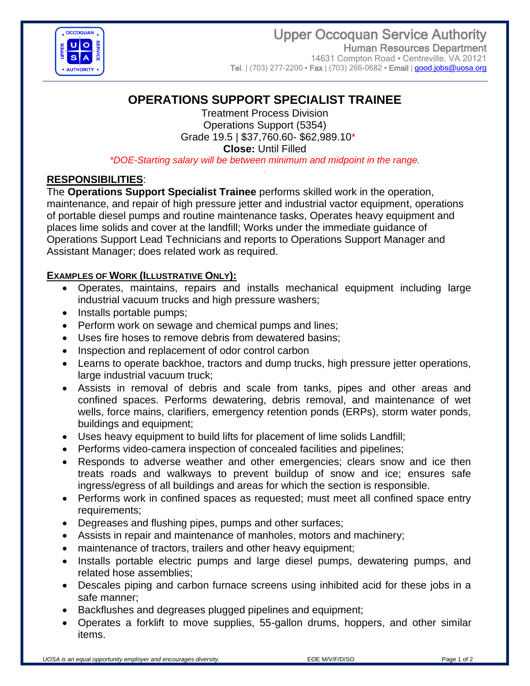

 Upper Occoquan Service Authority Human Resources Department 14631 Compton Road · Centreville, VA 20121 Tel. | (703) 277-2200 • Fax | (703) 266-0682 • Email | [good.jobs@uosa.org](../../Vacancies%20%5e%20CLOSED/2022%20CLOSED%20Vacancies/Vacancies%20%5e%20CLOSED/2021%20CLOSED%20Vacancies/Vacancies%20%5e%20CLOSED/2017%20CLOSED%20Vacancies/5351%20Support%20Specialist%20TRAINEE%20(May%202017)/AppData/Local/Microsoft/Windows/INetCache/Content.Outlook/AppData/Local/Microsoft/Windows/Temporary%20Internet%20Files/Content.Outlook/AppData/Local/Microsoft/Windows/Temporary%20Internet%20Files/Content.Outlook/AppData/Local/Microsoft/Windows/Temporary%20Internet%20Files/Content.Outlook/AppData/Local/Microsoft/Windows/Temporary%20Internet%20Files/Administrative%20Assistant%20(Mar%202014)/Mechanic%20(Dec%202013)/Vacancy%20Annoucements/good.jobs@uosa.org)

# **OPERATIONS SUPPORT SPECIALIST TRAINEE**

Treatment Process Division Operations Support (5354) Grade 19.5 | \$37,760.60- \$62,989.10\* **Close:** Until Filled *\*DOE-Starting salary will be between minimum and midpoint in the range.*

*.*

## **RESPONSIBILITIES**:

The **Operations Support Specialist Trainee** performs skilled work in the operation, maintenance, and repair of high pressure jetter and industrial vactor equipment, operations of portable diesel pumps and routine maintenance tasks, Operates heavy equipment and places lime solids and cover at the landfill; Works under the immediate guidance of Operations Support Lead Technicians and reports to Operations Support Manager and Assistant Manager; does related work as required.

### **EXAMPLES OF WORK (ILLUSTRATIVE ONLY):**

- Operates, maintains, repairs and installs mechanical equipment including large industrial vacuum trucks and high pressure washers;
- Installs portable pumps;
- Perform work on sewage and chemical pumps and lines;
- Uses fire hoses to remove debris from dewatered basins;
- Inspection and replacement of odor control carbon
- Learns to operate backhoe, tractors and dump trucks, high pressure jetter operations, large industrial vacuum truck;
- Assists in removal of debris and scale from tanks, pipes and other areas and confined spaces. Performs dewatering, debris removal, and maintenance of wet wells, force mains, clarifiers, emergency retention ponds (ERPs), storm water ponds, buildings and equipment;
- Uses heavy equipment to build lifts for placement of lime solids Landfill;
- Performs video-camera inspection of concealed facilities and pipelines;
- Responds to adverse weather and other emergencies; clears snow and ice then treats roads and walkways to prevent buildup of snow and ice; ensures safe ingress/egress of all buildings and areas for which the section is responsible.
- Performs work in confined spaces as requested; must meet all confined space entry requirements;
- Degreases and flushing pipes, pumps and other surfaces;
- Assists in repair and maintenance of manholes, motors and machinery;
- maintenance of tractors, trailers and other heavy equipment;
- Installs portable electric pumps and large diesel pumps, dewatering pumps, and related hose assemblies;
- Descales piping and carbon furnace screens using inhibited acid for these jobs in a safe manner;
- Backflushes and degreases plugged pipelines and equipment;
- Operates a forklift to move supplies, 55-gallon drums, hoppers, and other similar items.